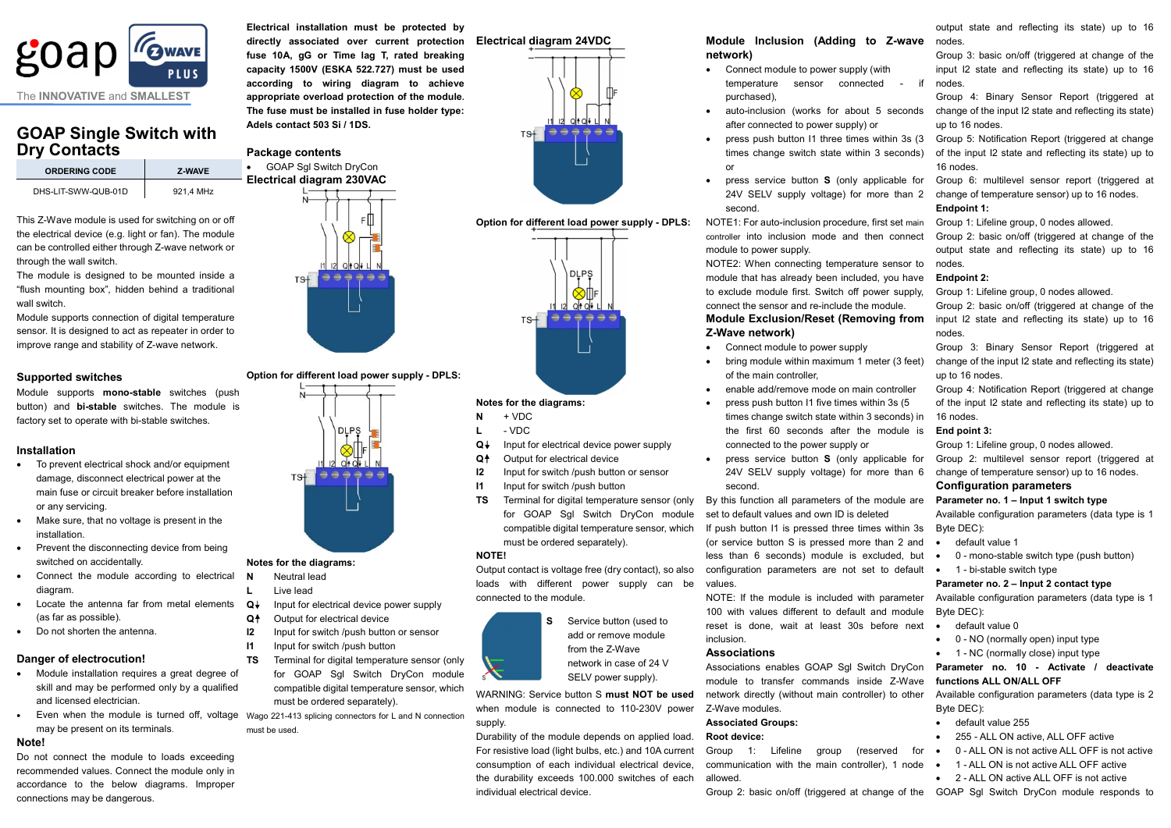

# GOAP Single Switch with Dry Contacts

| <b>ORDERING CODE</b> | <b>7 WAVF</b> |
|----------------------|---------------|
| DHS-LIT-SWW-QUB-01D  | 921.4 MHz     |

This Z-Wave module is used for switching on or off the electrical device (e.g. light or fan). The module can be controlled either through Z-wave network or through the wall switch.

The module is designed to be mounted inside a "flush mounting box", hidden behind a traditional wall switch.

Module supports connection of digital temperature sensor. It is designed to act as repeater in order to improve range and stability of Z-wave network.

### Supported switches

Module supports mono-stable switches (push button) and bi-stable switches. The module is factory set to operate with bi-stable switches.

### Installation

- To prevent electrical shock and/or equipment damage, disconnect electrical power at the main fuse or circuit breaker before installation or any servicing.
- Make sure, that no voltage is present in the installation.
- Prevent the disconnecting device from being switched on accidentally.
- Connect the module according to electrical diagram.
- Locate the antenna far from metal elements (as far as possible).
- Do not shorten the antenna.

### Danger of electrocution!

- Module installation requires a great degree of skill and may be performed only by a qualified and licensed electrician.
- may be present on its terminals. must be used.

## Note!

Do not connect the module to loads exceeding recommended values. Connect the module only in accordance to the below diagrams. Improper connections may be dangerous.

Electrical installation must be protected by directly associated over current protection Electrical diagram 24VDC fuse 10A, gG or Time lag T, rated breaking capacity 1500V (ESKA 522.727) must be used according to wiring diagram to achieve appropriate overload protection of the module. The fuse must be installed in fuse holder type: Adels contact 503 Si / 1DS.

## Package contents

 GOAP Sgl Switch DryCon Electrical diagram 230VAC



### Option for different load power supply - DPLS:



### Notes for the diagrams:

- N Neutral lead
	- Live lead
- $Q*$  Input for electrical device power supply
- Q<sup>4</sup> Output for electrical device
- I2 Input for switch /push button or sensor
- I1 Input for switch /push button
- TS Terminal for digital temperature sensor (only for GOAP Sgl Switch DryCon module compatible digital temperature sensor, which must be ordered separately).
- Even when the module is turned off, voltage Wago 221-413 splicing connectors for L and N connection

### Notes for the diagrams:

 $TS + 1$ 

- $N + VDC$
- L VDC
- $Q\downarrow$  Input for electrical device power supply

Option for different load power supply - DPLS:

**DLPS** 

 $12$  of  $\overline{d}$  L  $\Rightarrow$   $\Rightarrow$   $\Rightarrow$   $\Rightarrow$ 

 $TSF$   $\theta \theta \theta \theta$ 

- Q<sup>4</sup> Output for electrical device
- I2 Input for switch /push button or sensor
- I1 Input for switch /push button
- **TS** Terminal for digital temperature sensor (only for GOAP Sgl Switch DryCon module compatible digital temperature sensor, which must be ordered separately).

### NOTE!

ł,

Output contact is voltage free (dry contact), so also loads with different power supply can be connected to the module.



WARNING: Service button S must NOT be used when module is connected to 110-230V power supply.

Durability of the module depends on applied load. For resistive load (light bulbs, etc.) and 10A current consumption of each individual electrical device, the durability exceeds 100.000 switches of each individual electrical device.

## Module Inclusion (Adding to Z-wave network)

- Connect module to power supply (with temperature sensor connected - if purchased),
- auto-inclusion (works for about 5 seconds after connected to power supply) or
- press push button I1 three times within 3s (3 times change switch state within 3 seconds) or
- press service button S (only applicable for 24V SELV supply voltage) for more than 2 second.

NOTE1: For auto-inclusion procedure, first set main controller into inclusion mode and then connect module to power supply.

NOTE2: When connecting temperature sensor to module that has already been included, you have to exclude module first. Switch off power supply,

### connect the sensor and re-include the module. Module Exclusion/Reset (Removing from Z-Wave network)

- Connect module to power supply
- bring module within maximum 1 meter (3 feet) of the main controller,
- enable add/remove mode on main controller
- press push button I1 five times within 3s (5 times change switch state within 3 seconds) in the first 60 seconds after the module is connected to the power supply or
- **•** press service button **S** (only applicable for 24V SELV supply voltage) for more than 6 second.

 By this function all parameters of the module are set to default values and own ID is deleted If push button I1 is pressed three times within 3s (or service button S is pressed more than 2 and less than 6 seconds) module is excluded, but configuration parameters are not set to default

NOTE: If the module is included with parameter 100 with values different to default and module reset is done, wait at least 30s before next inclusion.

### Associations

values.

Associations enables GOAP Sgl Switch DryCon module to transfer commands inside Z-Wave network directly (without main controller) to other Z-Wave modules.

### Associated Groups: Root device:

Group 1: Lifeline group (reserved for

communication with the main controller), 1 node allowed. 1 - ALL ON is not active ALL OFF active

Group 2: basic on/off (triggered at change of the GOAP Sgl Switch DryCon module responds to

output state and reflecting its state) up to 16 nodes.

Group 3: basic on/off (triggered at change of the input I2 state and reflecting its state) up to 16 nodes.

Group 4: Binary Sensor Report (triggered at change of the input I2 state and reflecting its state) up to 16 nodes.

Group 5: Notification Report (triggered at change of the input I2 state and reflecting its state) up to 16 nodes.

Group 6: multilevel sensor report (triggered at change of temperature sensor) up to 16 nodes. Endpoint 1:

Group 1: Lifeline group, 0 nodes allowed.

Group 2: basic on/off (triggered at change of the output state and reflecting its state) up to 16 nodes.

### Endpoint 2:

Group 1: Lifeline group, 0 nodes allowed.

Group 2: basic on/off (triggered at change of the input I2 state and reflecting its state) up to 16 nodes.

Group 3: Binary Sensor Report (triggered at change of the input I2 state and reflecting its state) up to 16 nodes.

Group 4: Notification Report (triggered at change of the input I2 state and reflecting its state) up to 16 nodes.

### End point 3:

Group 1: Lifeline group, 0 nodes allowed.

Group 2: multilevel sensor report (triggered at change of temperature sensor) up to 16 nodes. Configuration parameters

# Parameter no. 1 – Input 1 switch type

Available configuration parameters (data type is 1 Byte DEC):

- default value 1
- $\bullet$  0 mono-stable switch type (push button)
- 1 bi-stable switch type

## Parameter no. 2 – Input 2 contact type

Available configuration parameters (data type is 1 Byte DEC):

- default value 0
- 0 NO (normally open) input type
- 1 NC (normally close) input type

Parameter no. 10 - Activate / deactivate functions ALL ON/ALL OFF

Available configuration parameters (data type is 2 Byte DEC):

0 - ALL ON is not active ALL OFF is not active

2 - ALL ON active ALL OFF is not active

- default value 255
- 255 ALL ON active, ALL OFF active